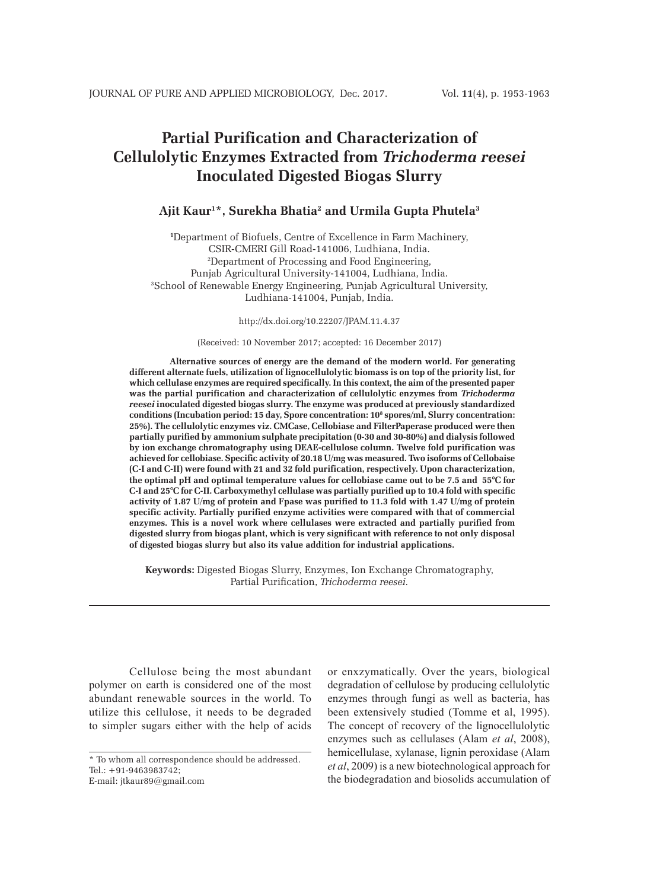# **Partial Purification and Characterization of Cellulolytic Enzymes Extracted from** *Trichoderma reesei* **Inoculated Digested Biogas Slurry**

### **Ajit Kaur1 \*, Surekha Bhatia2 and Urmila Gupta Phutela3**

**1** Department of Biofuels, Centre of Excellence in Farm Machinery, CSIR-CMERI Gill Road-141006, Ludhiana, India. 2 Department of Processing and Food Engineering, Punjab Agricultural University-141004, Ludhiana, India. 3 School of Renewable Energy Engineering, Punjab Agricultural University, Ludhiana-141004, Punjab, India.

http://dx.doi.org/10.22207/JPAM.11.4.37

(Received: 10 November 2017; accepted: 16 December 2017)

**Alternative sources of energy are the demand of the modern world. For generating different alternate fuels, utilization of lignocellulolytic biomass is on top of the priority list, for which cellulase enzymes are required specifically. In this context, the aim of the presented paper was the partial purification and characterization of cellulolytic enzymes from** *Trichoderma reesei* **inoculated digested biogas slurry. The enzyme was produced at previously standardized conditions (Incubation period: 15 day, Spore concentration: 108 spores/ml, Slurry concentration: 25%). The cellulolytic enzymes viz. CMCase, Cellobiase and FilterPaperase produced were then partially purified by ammonium sulphate precipitation (0-30 and 30-80%) and dialysis followed by ion exchange chromatography using DEAE-cellulose column. Twelve fold purification was achieved for cellobiase. Specific activity of 20.18 U/mg was measured. Two isoforms of Cellobaise (C-I and C-II) were found with 21 and 32 fold purification, respectively. Upon characterization, the optimal pH and optimal temperature values for cellobiase came out to be 7.5 and 55°C for C-I and 25°C for C-II. Carboxymethyl cellulase was partially purified up to 10.4 fold with specific activity of 1.87 U/mg of protein and Fpase was purified to 11.3 fold with 1.47 U/mg of protein specific activity. Partially purified enzyme activities were compared with that of commercial enzymes. This is a novel work where cellulases were extracted and partially purified from digested slurry from biogas plant, which is very significant with reference to not only disposal of digested biogas slurry but also its value addition for industrial applications.**

**Keywords:** Digested Biogas Slurry, Enzymes, Ion Exchange Chromatography, Partial Purification, *Trichoderma reesei.*

Cellulose being the most abundant polymer on earth is considered one of the most abundant renewable sources in the world. To utilize this cellulose, it needs to be degraded to simpler sugars either with the help of acids

or enxzymatically. Over the years, biological degradation of cellulose by producing cellulolytic enzymes through fungi as well as bacteria, has been extensively studied (Tomme et al, 1995). The concept of recovery of the lignocellulolytic enzymes such as cellulases (Alam *et al*, 2008), hemicellulase, xylanase, lignin peroxidase (Alam *et al*, 2009) is a new biotechnological approach for the biodegradation and biosolids accumulation of

<sup>\*</sup> To whom all correspondence should be addressed. Tel.: +91-9463983742; E-mail: jtkaur89@gmail.com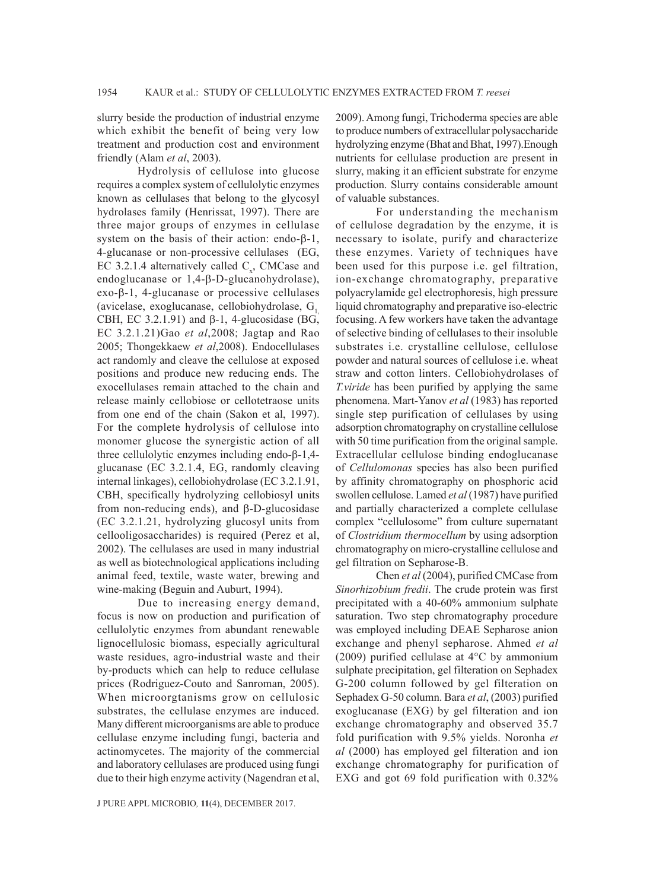slurry beside the production of industrial enzyme which exhibit the benefit of being very low treatment and production cost and environment friendly (Alam *et al*, 2003).

Hydrolysis of cellulose into glucose requires a complex system of cellulolytic enzymes known as cellulases that belong to the glycosyl hydrolases family (Henrissat, 1997). There are three major groups of enzymes in cellulase system on the basis of their action: endo- $\beta$ -1, 4-glucanase or non-processive cellulases (EG, EC 3.2.1.4 alternatively called  $C_x$ , CMCase and endoglucanase or  $1,4-\beta$ -D-glucanohydrolase),  $exo-\beta-1$ , 4-glucanase or processive cellulases (avicelase, exoglucanase, cellobiohydrolase,  $G<sub>1</sub>$ , CBH, EC 3.2.1.91) and  $\beta$ -1, 4-glucosidase (BG, EC 3.2.1.21)Gao *et al*,2008; Jagtap and Rao 2005; Thongekkaew *et al*,2008). Endocellulases act randomly and cleave the cellulose at exposed positions and produce new reducing ends. The exocellulases remain attached to the chain and release mainly cellobiose or cellotetraose units from one end of the chain (Sakon et al, 1997). For the complete hydrolysis of cellulose into monomer glucose the synergistic action of all three cellulolytic enzymes including endo- $\beta$ -1,4glucanase (EC 3.2.1.4, EG, randomly cleaving internal linkages), cellobiohydrolase (EC 3.2.1.91, CBH, specifically hydrolyzing cellobiosyl units from non-reducing ends), and  $\beta$ -D-glucosidase (EC 3.2.1.21, hydrolyzing glucosyl units from cellooligosaccharides) is required (Perez et al, 2002). The cellulases are used in many industrial as well as biotechnological applications including animal feed, textile, waste water, brewing and wine-making (Beguin and Auburt, 1994).

Due to increasing energy demand, focus is now on production and purification of cellulolytic enzymes from abundant renewable lignocellulosic biomass, especially agricultural waste residues, agro-industrial waste and their by-products which can help to reduce cellulase prices (Rodriguez-Couto and Sanroman, 2005). When microorgtanisms grow on cellulosic substrates, the cellulase enzymes are induced. Many different microorganisms are able to produce cellulase enzyme including fungi, bacteria and actinomycetes. The majority of the commercial and laboratory cellulases are produced using fungi due to their high enzyme activity (Nagendran et al,

J PURE APPL MICROBIO*,* **11**(4), DECEMBER 2017.

2009). Among fungi, Trichoderma species are able to produce numbers of extracellular polysaccharide hydrolyzing enzyme (Bhat and Bhat, 1997).Enough nutrients for cellulase production are present in slurry, making it an efficient substrate for enzyme production. Slurry contains considerable amount of valuable substances.

For understanding the mechanism of cellulose degradation by the enzyme, it is necessary to isolate, purify and characterize these enzymes. Variety of techniques have been used for this purpose i.e. gel filtration, ion-exchange chromatography, preparative polyacrylamide gel electrophoresis, high pressure liquid chromatography and preparative iso-electric focusing. A few workers have taken the advantage of selective binding of cellulases to their insoluble substrates i.e. crystalline cellulose, cellulose powder and natural sources of cellulose i.e. wheat straw and cotton linters. Cellobiohydrolases of *T.viride* has been purified by applying the same phenomena. Mart-Yanov *et al* (1983) has reported single step purification of cellulases by using adsorption chromatography on crystalline cellulose with 50 time purification from the original sample. Extracellular cellulose binding endoglucanase of *Cellulomonas* species has also been purified by affinity chromatography on phosphoric acid swollen cellulose. Lamed *et al* (1987) have purified and partially characterized a complete cellulase complex "cellulosome" from culture supernatant of *Clostridium thermocellum* by using adsorption chromatography on micro-crystalline cellulose and gel filtration on Sepharose-B.

Chen *et al* (2004), purified CMCase from *Sinorhizobium fredii*. The crude protein was first precipitated with a 40-60% ammonium sulphate saturation. Two step chromatography procedure was employed including DEAE Sepharose anion exchange and phenyl sepharose. Ahmed *et al* (2009) purified cellulase at 4°C by ammonium sulphate precipitation, gel filteration on Sephadex G-200 column followed by gel filteration on Sephadex G-50 column. Bara *et al*, (2003) purified exoglucanase (EXG) by gel filteration and ion exchange chromatography and observed 35.7 fold purification with 9.5% yields. Noronha *et al* (2000) has employed gel filteration and ion exchange chromatography for purification of EXG and got 69 fold purification with 0.32%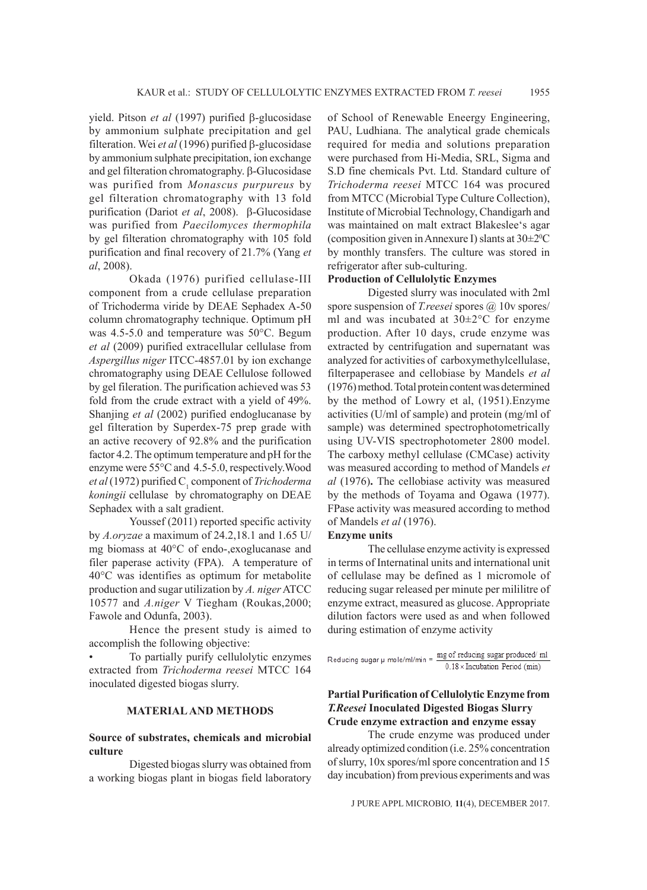yield. Pitson *et al* (1997) purified β-glucosidase by ammonium sulphate precipitation and gel filteration. Wei *et al* (1996) purified  $\beta$ -glucosidase by ammonium sulphate precipitation, ion exchange and gel filteration chromatography.  $\beta$ -Glucosidase was purified from *Monascus purpureus* by gel filteration chromatography with 13 fold purification (Dariot *et al*, 2008). β-Glucosidase was purified from *Paecilomyces thermophila* by gel filteration chromatography with 105 fold purification and final recovery of 21.7% (Yang *et al*, 2008).

Okada (1976) purified cellulase-III component from a crude cellulase preparation of Trichoderma viride by DEAE Sephadex A-50 column chromatography technique. Optimum pH was 4.5-5.0 and temperature was 50°C. Begum *et al* (2009) purified extracellular cellulase from *Aspergillus niger* ITCC-4857.01 by ion exchange chromatography using DEAE Cellulose followed by gel fileration. The purification achieved was 53 fold from the crude extract with a yield of 49%. Shanjing *et al* (2002) purified endoglucanase by gel filteration by Superdex-75 prep grade with an active recovery of 92.8% and the purification factor 4.2. The optimum temperature and pH for the enzyme were 55°C and 4.5-5.0, respectively.Wood *et al* (1972) purified C<sub>1</sub> component of *Trichoderma koningii* cellulase by chromatography on DEAE Sephadex with a salt gradient.

Youssef (2011) reported specific activity by *A.oryzae* a maximum of 24.2,18.1 and 1.65 U/ mg biomass at 40°C of endo-,exoglucanase and filer paperase activity (FPA). A temperature of 40°C was identifies as optimum for metabolite production and sugar utilization by *A. niger* ATCC 10577 and *A.niger* V Tiegham (Roukas,2000; Fawole and Odunfa, 2003).

Hence the present study is aimed to accomplish the following objective:

To partially purify cellulolytic enzymes extracted from *Trichoderma reesei* MTCC 164 inoculated digested biogas slurry.

#### **MATERIAL AND METHODS**

#### **Source of substrates, chemicals and microbial culture**

Digested biogas slurry was obtained from a working biogas plant in biogas field laboratory of School of Renewable Eneergy Engineering, PAU, Ludhiana. The analytical grade chemicals required for media and solutions preparation were purchased from Hi-Media, SRL, Sigma and S.D fine chemicals Pvt. Ltd. Standard culture of *Trichoderma reesei* MTCC 164 was procured from MTCC (Microbial Type Culture Collection), Institute of Microbial Technology, Chandigarh and was maintained on malt extract Blakeslee's agar (composition given in Annexure I) slants at  $30\pm2\degree C$ by monthly transfers. The culture was stored in refrigerator after sub-culturing.

#### **Production of Cellulolytic Enzymes**

Digested slurry was inoculated with 2ml spore suspension of *T.reesei* spores @ 10v spores/ ml and was incubated at 30±2°C for enzyme production. After 10 days, crude enzyme was extracted by centrifugation and supernatant was analyzed for activities of carboxymethylcellulase, filterpaperasee and cellobiase by Mandels *et al* (1976) method. Total protein content was determined by the method of Lowry et al, (1951).Enzyme activities (U/ml of sample) and protein (mg/ml of sample) was determined spectrophotometrically using UV-VIS spectrophotometer 2800 model. The carboxy methyl cellulase (CMCase) activity was measured according to method of Mandels *et al* (1976)**.** The cellobiase activity was measured by the methods of Toyama and Ogawa (1977). FPase activity was measured according to method of Mandels *et al* (1976).

#### **Enzyme units**

The cellulase enzyme activity is expressed in terms of Internatinal units and international unit of cellulase may be defined as 1 micromole of reducing sugar released per minute per mililitre of enzyme extract, measured as glucose. Appropriate dilution factors were used as and when followed during estimation of enzyme activity

Reducing sugar  $\mu$  mole/ml/min =  $\frac{mg}{m}$  of reducing sugar produced/ml  $0.18 \times Incubation Period (min)$ 

#### **Partial Purification of Cellulolytic Enzyme from**  *T.Reesei* **Inoculated Digested Biogas Slurry Crude enzyme extraction and enzyme essay**

The crude enzyme was produced under already optimized condition (i.e. 25% concentration of slurry, 10x spores/ml spore concentration and 15 day incubation) from previous experiments and was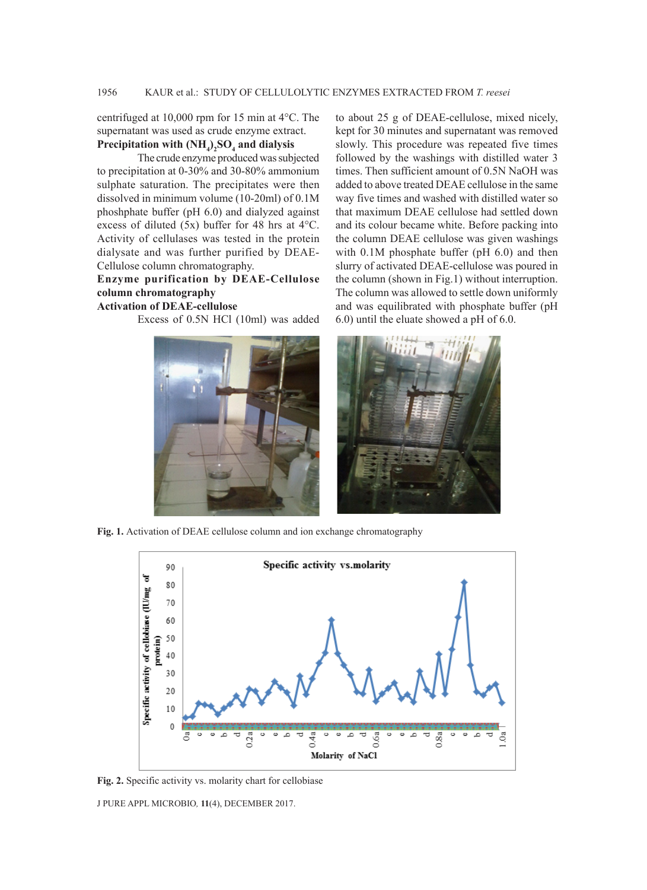centrifuged at 10,000 rpm for 15 min at 4°C. The supernatant was used as crude enzyme extract. Precipitation with  $(\text{NH}_4)_{2}\text{SO}_4$  and dialysis

The crude enzyme produced was subjected to precipitation at 0-30% and 30-80% ammonium sulphate saturation. The precipitates were then dissolved in minimum volume (10-20ml) of 0.1M phoshphate buffer (pH 6.0) and dialyzed against excess of diluted (5x) buffer for 48 hrs at 4°C. Activity of cellulases was tested in the protein dialysate and was further purified by DEAE-Cellulose column chromatography.

# **Enzyme purification by DEAE-Cellulose column chromatography**

#### **Activation of DEAE-cellulose**

Excess of 0.5N HCl (10ml) was added

to about 25 g of DEAE-cellulose, mixed nicely, kept for 30 minutes and supernatant was removed slowly. This procedure was repeated five times followed by the washings with distilled water 3 times. Then sufficient amount of 0.5N NaOH was added to above treated DEAE cellulose in the same way five times and washed with distilled water so that maximum DEAE cellulose had settled down and its colour became white. Before packing into the column DEAE cellulose was given washings with 0.1M phosphate buffer (pH 6.0) and then slurry of activated DEAE-cellulose was poured in the column (shown in Fig.1) without interruption. The column was allowed to settle down uniformly and was equilibrated with phosphate buffer (pH 6.0) until the eluate showed a pH of 6.0.



**Fig. 1.** Activation of DEAE cellulose column and ion exchange chromatography



**Fig. 2.** Specific activity vs. molarity chart for cellobiase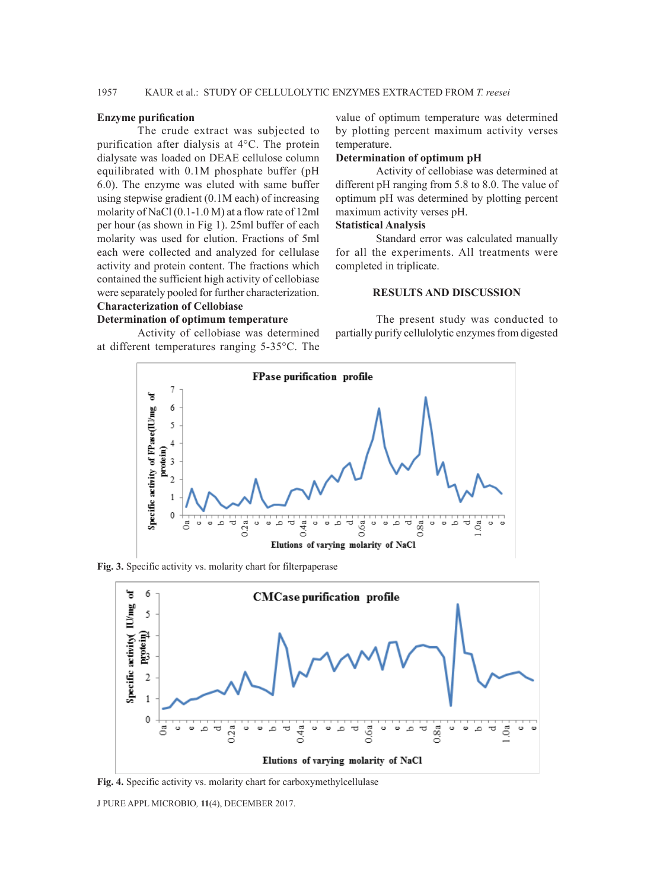## 1957 KAUR et al.: STUDY OF CELLULOLYTIC ENZYMES EXTRACTED FROM *T. reesei*

#### **Enzyme purification**

The crude extract was subjected to purification after dialysis at 4°C. The protein dialysate was loaded on DEAE cellulose column equilibrated with 0.1M phosphate buffer (pH 6.0). The enzyme was eluted with same buffer using stepwise gradient (0.1M each) of increasing molarity of NaCl (0.1-1.0 M) at a flow rate of 12ml per hour (as shown in Fig 1). 25ml buffer of each molarity was used for elution. Fractions of 5ml each were collected and analyzed for cellulase activity and protein content. The fractions which contained the sufficient high activity of cellobiase were separately pooled for further characterization.

# **Characterization of Cellobiase**

#### **Determination of optimum temperature**

Activity of cellobiase was determined at different temperatures ranging 5-35°C. The

value of optimum temperature was determined by plotting percent maximum activity verses temperature.

#### **Determination of optimum pH**

Activity of cellobiase was determined at different pH ranging from 5.8 to 8.0. The value of optimum pH was determined by plotting percent maximum activity verses pH.

#### **Statistical Analysis**

Standard error was calculated manually for all the experiments. All treatments were completed in triplicate.

#### **RESULTS AND DISCUSSION**

The present study was conducted to partially purify cellulolytic enzymes from digested



**Fig. 3.** Specific activity vs. molarity chart for filterpaperase



**Fig. 4.** Specific activity vs. molarity chart for carboxymethylcellulase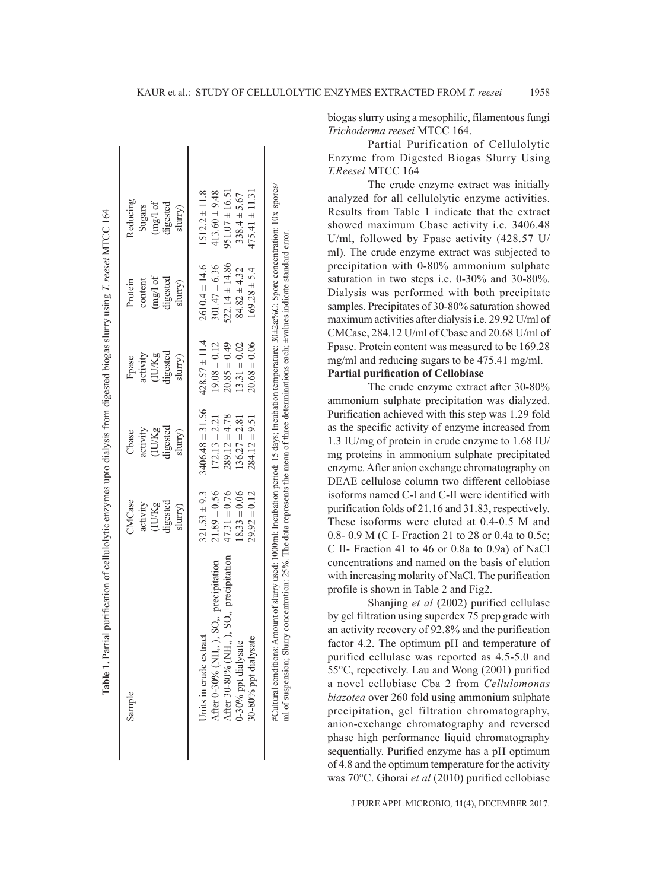| Sample                                   | <b>MCase</b>     | Cbase               | Fpase             | Protein            | Reducing           |  |
|------------------------------------------|------------------|---------------------|-------------------|--------------------|--------------------|--|
|                                          | activity         | activity            | activity          | content            | Sugars             |  |
|                                          | (IU/Kg           | (IU/Kg              | (IU/Kg            | mg/l of            | mg/l of            |  |
|                                          | digested         | digested            | digested          | digested           | digested           |  |
|                                          | slurry)          | slurry)             | slurry)           | slurry)            | slurry)            |  |
| Units in crude extract                   | $321.53 \pm 9.3$ | $3406.48 \pm 31.56$ | $428.57 \pm 11.4$ | $2610.4 \pm 14.6$  | $1512.2 \pm 11.8$  |  |
| After 0-30% (NH,, ), SO,, precipitation  | $21.89 \pm 0.56$ | $172.13 \pm 2.21$   | $19.08 \pm 0.12$  | $301.47 \pm 6.36$  | $413.60 \pm 9.48$  |  |
| After 30-80% (NH,, ), SO,, precipitation | $47.31 \pm 0.76$ | $289.12 \pm 4.78$   | $20.85 \pm 0.49$  | $522.14 \pm 14.86$ | $951.07 \pm 16.51$ |  |
| 0-30% ppt dialysate                      | $18.33 \pm 0.06$ | $136.27 \pm 2.81$   | $13.31 \pm 0.02$  | $84.82 \pm 4.32$   | $338.4 \pm 5.67$   |  |
| 30-80% ppt dialysate                     | $29.92 \pm 0.12$ | $284.12 \pm 9.51$   | $20.68 \pm 0.06$  | $169.28 \pm 5.4$   | $475.41 \pm 11.3$  |  |

 $\mathbf{I}$ 

 $\mathbf{I}$ 

biogas slurry using a mesophilic, filamentous fungi *Trichoderma reesei* MTCC 164.

Partial Purification of Cellulolytic Enzyme from Digested Biogas Slurry Using *T.Reesei* MTCC 164

The crude enzyme extract was initially analyzed for all cellulolytic enzyme activities. Results from Table 1 indicate that the extract showed maximum Cbase activity i.e. 3406.48 U/ml, followed by Fpase activity (428.57 U/ ml). The crude enzyme extract was subjected to precipitation with 0-80% ammonium sulphate saturation in two steps i.e. 0-30% and 30-80%. Dialysis was performed with both precipitate samples. Precipitates of 30-80% saturation showed maximum activities after dialysis i.e. 29.92 U/ml of CMCase, 284.12 U/ml of Cbase and 20.68 U/ml of Fpase. Protein content was measured to be 169.28 mg/ml and reducing sugars to be 475.41 mg/ml. **Partial purification of Cellobiase**

The crude enzyme extract after 30-80% ammonium sulphate precipitation was dialyzed. Purification achieved with this step was 1.29 fold as the specific activity of enzyme increased from 1.3 IU/mg of protein in crude enzyme to 1.68 IU/ mg proteins in ammonium sulphate precipitated enzyme. After anion exchange chromatography on DEAE cellulose column two different cellobiase isoforms named C-I and C-II were identified with purification folds of 21.16 and 31.83, respectively. These isoforms were eluted at 0.4-0.5 M and 0.8- 0.9 M (C I- Fraction 21 to 28 or 0.4a to 0.5c; C II- Fraction 41 to 46 or 0.8a to 0.9a) of NaCl concentrations and named on the basis of elution with increasing molarity of NaCl. The purification profile is shown in Table 2 and Fig2.

Shanjing *et al* (2002) purified cellulase by gel filtration using superdex 75 prep grade with an activity recovery of 92.8% and the purification factor 4.2. The optimum pH and temperature of purified cellulase was reported as 4.5-5.0 and 55°C, repectively. Lau and Wong (2001) purified a novel cellobiase Cba 2 from *Cellulomonas biazotea* over 260 fold using ammonium sulphate precipitation, gel filtration chromatography, anion-exchange chromatography and reversed phase high performance liquid chromatography sequentially. Purified enzyme has a pH optimum of 4.8 and the optimum temperature for the activity was 70°C. Ghorai *et al* (2010) purified cellobiase

J PURE APPL MICROBIO*,* **11**(4), DECEMBER 2017.

 $\overline{1}$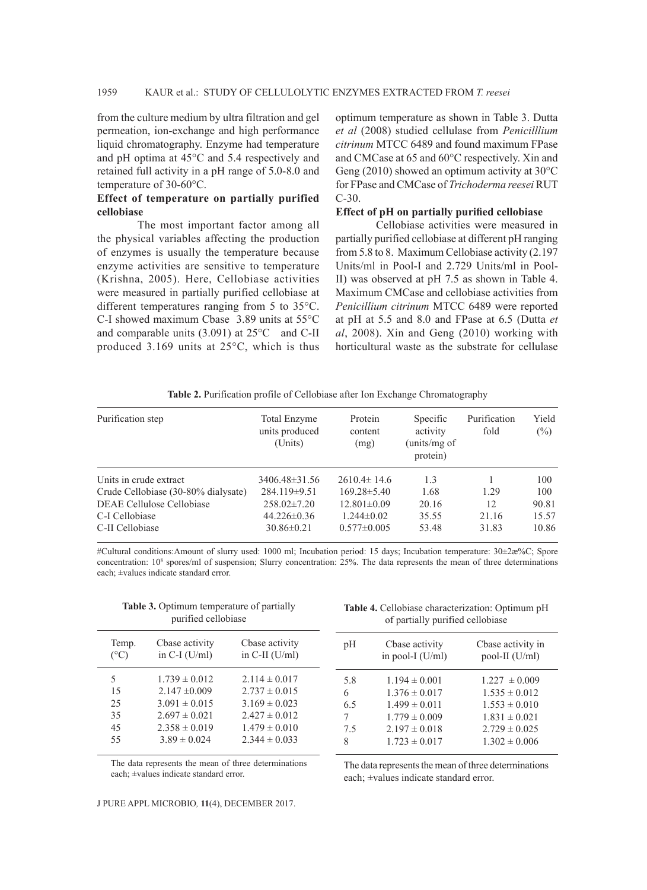from the culture medium by ultra filtration and gel permeation, ion-exchange and high performance liquid chromatography. Enzyme had temperature and pH optima at 45°C and 5.4 respectively and retained full activity in a pH range of 5.0-8.0 and temperature of 30-60°C.

#### **Effect of temperature on partially purified cellobiase**

The most important factor among all the physical variables affecting the production of enzymes is usually the temperature because enzyme activities are sensitive to temperature (Krishna, 2005). Here, Cellobiase activities were measured in partially purified cellobiase at different temperatures ranging from 5 to 35°C. C-I showed maximum Cbase 3.89 units at 55°C and comparable units (3.091) at 25°C and C-II produced 3.169 units at 25°C, which is thus

optimum temperature as shown in Table 3. Dutta *et al* (2008) studied cellulase from *Penicilllium citrinum* MTCC 6489 and found maximum FPase and CMCase at 65 and 60°C respectively. Xin and Geng (2010) showed an optimum activity at 30°C for FPase and CMCase of *Trichoderma reesei* RUT C-30.

#### **Effect of pH on partially purified cellobiase**

Cellobiase activities were measured in partially purified cellobiase at different pH ranging from 5.8 to 8. Maximum Cellobiase activity (2.197 Units/ml in Pool-I and 2.729 Units/ml in Pool-II) was observed at pH 7.5 as shown in Table 4. Maximum CMCase and cellobiase activities from *Penicillium citrinum* MTCC 6489 were reported at pH at 5.5 and 8.0 and FPase at 6.5 (Dutta *et al*, 2008). Xin and Geng (2010) working with horticultural waste as the substrate for cellulase

|  |  | Table 2. Purification profile of Cellobiase after Ion Exchange Chromatography |  |
|--|--|-------------------------------------------------------------------------------|--|
|--|--|-------------------------------------------------------------------------------|--|

| Purification step                   | Total Enzyme<br>units produced<br>(Units) | Protein<br>content<br>(mg) | Specific<br>activity<br>(units/mg of<br>protein) | Purification<br>fold | Yield<br>$(\%)$ |
|-------------------------------------|-------------------------------------------|----------------------------|--------------------------------------------------|----------------------|-----------------|
| Units in crude extract              | 3406.48±31.56                             | $2610.4 \pm 14.6$          | 1.3                                              |                      | 100             |
| Crude Cellobiase (30-80% dialysate) | $284.119 \pm 9.51$                        | $169.28 \pm 5.40$          | 1.68                                             | 1.29                 | 100             |
| DEAE Cellulose Cellobiase           | $258.02 \pm 7.20$                         | $12.801 \pm 0.09$          | 20.16                                            | 12                   | 90.81           |
| C-I Cellobiase                      | $44.226 \pm 0.36$                         | $1.244\pm0.02$             | 35.55                                            | 21.16                | 15.57           |
| C-II Cellobiase                     | $30.86 \pm 0.21$                          | $0.577 \pm 0.005$          | 53.48                                            | 31.83                | 10.86           |

#Cultural conditions:Amount of slurry used: 1000 ml; Incubation period: 15 days; Incubation temperature: 30±2æ%C; Spore concentration: 108 spores/ml of suspension; Slurry concentration: 25%. The data represents the mean of three determinations each; ±values indicate standard error.

|                        | <b>Table 3.</b> Optimum temperature of partially<br>purified cellobiase |                                    |     | Table 4. Cellobiase characterization: Optimum pH<br>of partially purified cellobiase |                                       |
|------------------------|-------------------------------------------------------------------------|------------------------------------|-----|--------------------------------------------------------------------------------------|---------------------------------------|
| Temp.<br>$(^{\circ}C)$ | Cbase activity<br>in C-I $(U/ml)$                                       | Cbase activity<br>in C-II $(U/ml)$ | pH  | Cbase activity<br>in pool-I $(U/ml)$                                                 | Cbase activity in<br>pool-II $(U/ml)$ |
| 5                      | $1.739 \pm 0.012$                                                       | $2.114 \pm 0.017$                  | 5.8 | $1.194 \pm 0.001$                                                                    | $1.227 \pm 0.009$                     |
| 15                     | $2.147 \pm 0.009$                                                       | $2.737 \pm 0.015$                  | 6   | $1.376 \pm 0.017$                                                                    | $1.535 \pm 0.012$                     |
| 25                     | $3.091 \pm 0.015$                                                       | $3.169 \pm 0.023$                  | 6.5 | $1.499 \pm 0.011$                                                                    | $1.553 \pm 0.010$                     |
| 35                     | $2.697 \pm 0.021$                                                       | $2.427 \pm 0.012$                  | 7   | $1.779 \pm 0.009$                                                                    | $1.831 \pm 0.021$                     |
| 45                     | $2.358 \pm 0.019$                                                       | $1.479 \pm 0.010$                  | 7.5 | $2.197 \pm 0.018$                                                                    | $2.729 \pm 0.025$                     |
| 55                     | $3.89 \pm 0.024$                                                        | $2.344 \pm 0.033$                  | 8   | $1.723 \pm 0.017$                                                                    | $1.302 \pm 0.006$                     |
|                        |                                                                         |                                    |     |                                                                                      |                                       |

The data represents the mean of three determinations each; ±values indicate standard error.

The data represents the mean of three determinations each; ±values indicate standard error.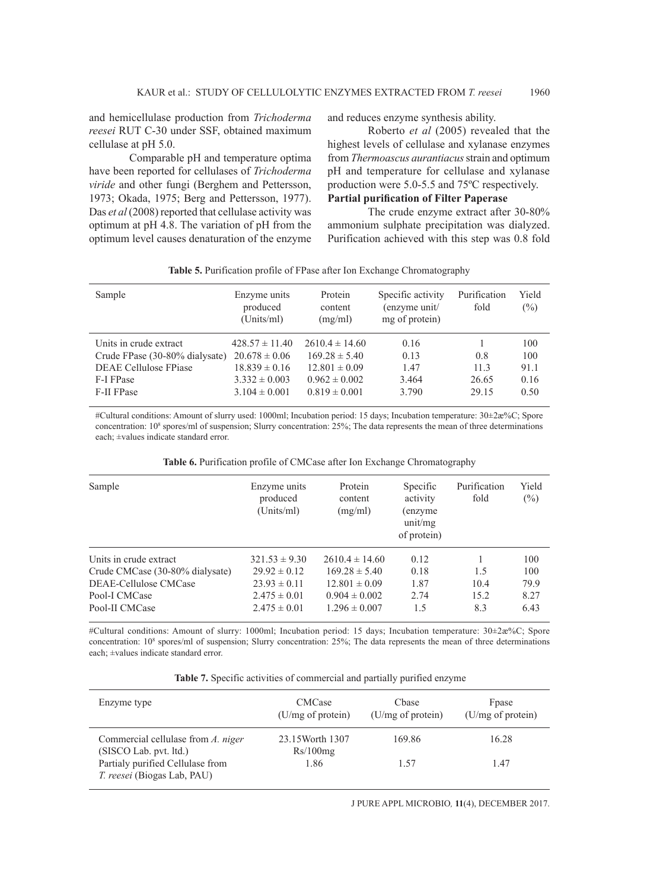and hemicellulase production from *Trichoderma reesei* RUT C-30 under SSF, obtained maximum cellulase at pH 5.0.

Comparable pH and temperature optima have been reported for cellulases of *Trichoderma viride* and other fungi (Berghem and Pettersson, 1973; Okada, 1975; Berg and Pettersson, 1977). Das *et al* (2008) reported that cellulase activity was optimum at pH 4.8. The variation of pH from the optimum level causes denaturation of the enzyme and reduces enzyme synthesis ability.

Roberto *et al* (2005) revealed that the highest levels of cellulase and xylanase enzymes from *Thermoascus aurantiacus* strain and optimum pH and temperature for cellulase and xylanase production were 5.0-5.5 and 75ºC respectively. **Partial purification of Filter Paperase**

The crude enzyme extract after 30-80% ammonium sulphate precipitation was dialyzed. Purification achieved with this step was 0.8 fold

| Sample                                                   | Enzyme units<br>produced<br>(Units/ml)  | Protein<br>content<br>(mg/ml)           | Specific activity<br>(enzyme unit/<br>mg of protein) | Purification<br>fold | Yield<br>$(\% )$ |
|----------------------------------------------------------|-----------------------------------------|-----------------------------------------|------------------------------------------------------|----------------------|------------------|
| Units in crude extract<br>Crude FPase (30-80% dialysate) | $428.57 \pm 11.40$<br>$20.678 \pm 0.06$ | $2610.4 \pm 14.60$<br>$169.28 \pm 5.40$ | 0.16<br>0.13                                         | 0.8                  | 100<br>100       |
| <b>DEAE Cellulose FPiase</b><br>F-I FPase                | $18.839 \pm 0.16$<br>$3.332 \pm 0.003$  | $12.801 \pm 0.09$<br>$0.962 \pm 0.002$  | 1.47<br>3.464                                        | 11.3<br>26.65        | 91.1<br>0.16     |
| F-II FPase                                               | $3.104 \pm 0.001$                       | $0.819 \pm 0.001$                       | 3.790                                                | 29.15                | 0.50             |

**Table 5.** Purification profile of FPase after Ion Exchange Chromatography

#Cultural conditions: Amount of slurry used: 1000ml; Incubation period: 15 days; Incubation temperature: 30±2æ%C; Spore concentration: 108 spores/ml of suspension; Slurry concentration: 25%; The data represents the mean of three determinations each; ±values indicate standard error.

**Table 6.** Purification profile of CMCase after Ion Exchange Chromatography

| Sample                          | Enzyme units<br>produced<br>(Units/ml) | Protein<br>content<br>(mg/ml) | Specific<br>activity<br>(enzyme)<br>unit/mg<br>of protein) | Purification<br>fold | Yield<br>$(\%)$ |
|---------------------------------|----------------------------------------|-------------------------------|------------------------------------------------------------|----------------------|-----------------|
| Units in crude extract          | $321.53 \pm 9.30$                      | $2610.4 \pm 14.60$            | 0.12                                                       |                      | 100             |
| Crude CMCase (30-80% dialysate) | $29.92 \pm 0.12$                       | $169.28 \pm 5.40$             | 0.18                                                       | 1.5                  | 100             |
| DEAE-Cellulose CMCase           | $23.93 \pm 0.11$                       | $12.801 \pm 0.09$             | 1.87                                                       | 10.4                 | 79.9            |
| Pool-I CMCase                   | $2.475 \pm 0.01$                       | $0.904 \pm 0.002$             | 2.74                                                       | 15.2                 | 8.27            |
| Pool-II CMCase                  | $2.475 \pm 0.01$                       | $1.296 \pm 0.007$             | 1.5                                                        | 8.3                  | 6.43            |

#Cultural conditions: Amount of slurry: 1000ml; Incubation period: 15 days; Incubation temperature: 30±2æ%C; Spore concentration: 108 spores/ml of suspension; Slurry concentration: 25%; The data represents the mean of three determinations each; ±values indicate standard error.

|  |  |  |  | Table 7. Specific activities of commercial and partially purified enzyme |  |  |  |  |
|--|--|--|--|--------------------------------------------------------------------------|--|--|--|--|
|--|--|--|--|--------------------------------------------------------------------------|--|--|--|--|

| Enzyme type                                                            | <b>CMCase</b><br>$(U/mg \text{ of protein})$ | Chase<br>$(U/mg \text{ of protein})$ | Fpase<br>(U/mg of protein) |
|------------------------------------------------------------------------|----------------------------------------------|--------------------------------------|----------------------------|
| Commercial cellulase from A. niger<br>(SISCO Lab. pvt. ltd.)           | 23.15 Worth 1307<br>Rs/100mg                 | 169.86                               | 16.28                      |
| Partialy purified Cellulase from<br><i>T. reesei</i> (Biogas Lab, PAU) | 1.86                                         | 1.57                                 | 1.47                       |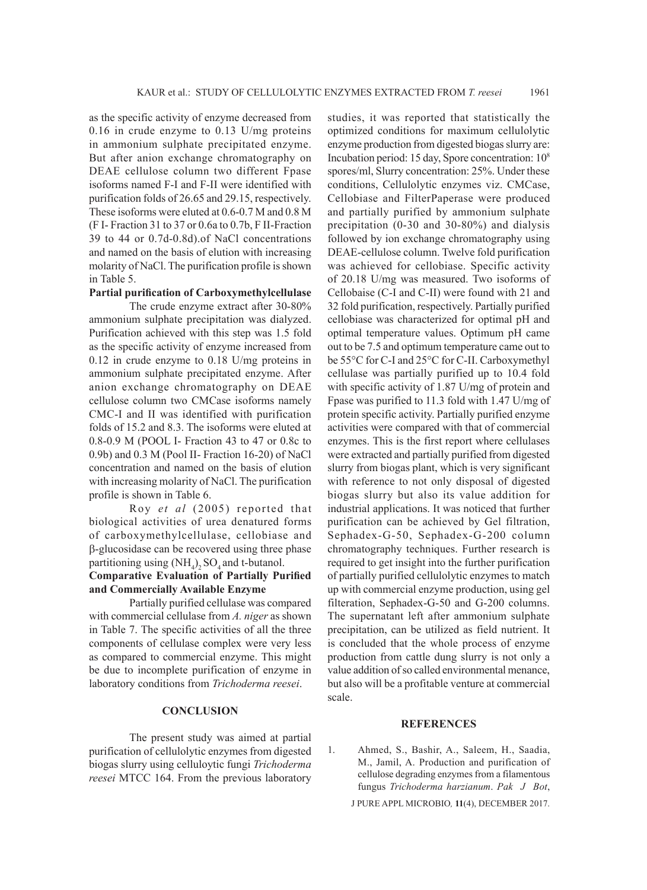as the specific activity of enzyme decreased from 0.16 in crude enzyme to 0.13 U/mg proteins in ammonium sulphate precipitated enzyme. But after anion exchange chromatography on DEAE cellulose column two different Fpase isoforms named F-I and F-II were identified with purification folds of 26.65 and 29.15, respectively. These isoforms were eluted at 0.6-0.7 M and 0.8 M (F I- Fraction 31 to 37 or 0.6a to 0.7b, F II-Fraction 39 to 44 or 0.7d-0.8d).of NaCl concentrations and named on the basis of elution with increasing molarity of NaCl. The purification profile is shown in Table 5.

# **Partial purification of Carboxymethylcellulase**

The crude enzyme extract after 30-80% ammonium sulphate precipitation was dialyzed. Purification achieved with this step was 1.5 fold as the specific activity of enzyme increased from 0.12 in crude enzyme to 0.18 U/mg proteins in ammonium sulphate precipitated enzyme. After anion exchange chromatography on DEAE cellulose column two CMCase isoforms namely CMC-I and II was identified with purification folds of 15.2 and 8.3. The isoforms were eluted at 0.8-0.9 M (POOL I- Fraction 43 to 47 or 0.8c to 0.9b) and 0.3 M (Pool II- Fraction 16-20) of NaCl concentration and named on the basis of elution with increasing molarity of NaCl. The purification profile is shown in Table 6.

Roy *et al* (2005) reported that biological activities of urea denatured forms of carboxymethylcellulase, cellobiase and b-glucosidase can be recovered using three phase partitioning using  $(NH_4)_2 SO_4$  and t-butanol. **Comparative Evaluation of Partially Purified and Commercially Available Enzyme**

Partially purified cellulase was compared with commercial cellulase from *A. niger* as shown in Table 7. The specific activities of all the three components of cellulase complex were very less as compared to commercial enzyme. This might be due to incomplete purification of enzyme in laboratory conditions from *Trichoderma reesei*.

### **CONCLUSION**

The present study was aimed at partial purification of cellulolytic enzymes from digested biogas slurry using celluloytic fungi *Trichoderma reesei* MTCC 164. From the previous laboratory studies, it was reported that statistically the optimized conditions for maximum cellulolytic enzyme production from digested biogas slurry are: Incubation period: 15 day, Spore concentration: 108 spores/ml, Slurry concentration: 25%. Under these conditions, Cellulolytic enzymes viz. CMCase, Cellobiase and FilterPaperase were produced and partially purified by ammonium sulphate precipitation (0-30 and 30-80%) and dialysis followed by ion exchange chromatography using DEAE-cellulose column. Twelve fold purification was achieved for cellobiase. Specific activity of 20.18 U/mg was measured. Two isoforms of Cellobaise (C-I and C-II) were found with 21 and 32 fold purification, respectively. Partially purified cellobiase was characterized for optimal pH and optimal temperature values. Optimum pH came out to be 7.5 and optimum temperature came out to be 55°C for C-I and 25°C for C-II. Carboxymethyl cellulase was partially purified up to 10.4 fold with specific activity of 1.87 U/mg of protein and Fpase was purified to 11.3 fold with 1.47 U/mg of protein specific activity. Partially purified enzyme activities were compared with that of commercial enzymes. This is the first report where cellulases were extracted and partially purified from digested slurry from biogas plant, which is very significant with reference to not only disposal of digested biogas slurry but also its value addition for industrial applications. It was noticed that further purification can be achieved by Gel filtration, Sephadex-G-50, Sephadex-G-200 column chromatography techniques. Further research is required to get insight into the further purification of partially purified cellulolytic enzymes to match up with commercial enzyme production, using gel filteration, Sephadex-G-50 and G-200 columns. The supernatant left after ammonium sulphate precipitation, can be utilized as field nutrient. It is concluded that the whole process of enzyme production from cattle dung slurry is not only a value addition of so called environmental menance, but also will be a profitable venture at commercial scale.

#### **REFERENCES**

- 1. Ahmed, S., Bashir, A., Saleem, H., Saadia, M., Jamil, A. Production and purification of cellulose degrading enzymes from a filamentous fungus *Trichoderma harzianum*. *Pak J Bot*,
	- J PURE APPL MICROBIO*,* **11**(4), DECEMBER 2017.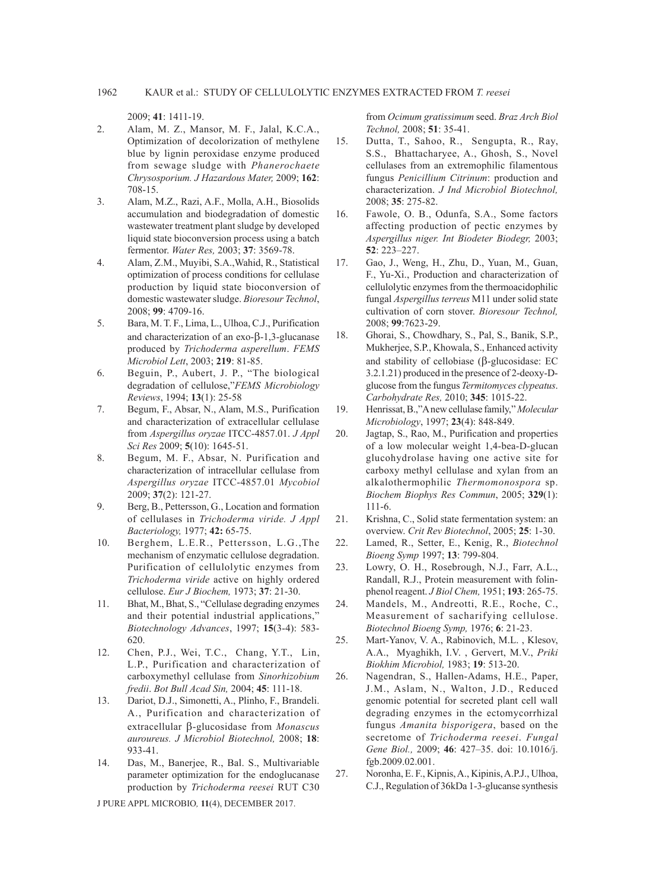2009; **41**: 1411-19.

- 2. Alam, M. Z., Mansor, M. F., Jalal, K.C.A., Optimization of decolorization of methylene blue by lignin peroxidase enzyme produced from sewage sludge with *Phanerochaete Chrysosporium. J Hazardous Mater,* 2009; **162**: 708-15.
- 3. Alam, M.Z., Razi, A.F., Molla, A.H., Biosolids accumulation and biodegradation of domestic wastewater treatment plant sludge by developed liquid state bioconversion process using a batch fermentor. *Water Res,* 2003; **37**: 3569-78.
- 4. Alam, Z.M., Muyibi, S.A.,Wahid, R., Statistical optimization of process conditions for cellulase production by liquid state bioconversion of domestic wastewater sludge. *Bioresour Technol*, 2008; **99**: 4709-16.
- 5. Bara, M. T. F., Lima, L., Ulhoa, C.J., Purification and characterization of an  $exo-\beta-1,3$ -glucanase produced by *Trichoderma asperellum*. *FEMS Microbiol Lett*, 2003; **219**: 81-85.
- 6. Beguin, P., Aubert, J. P., "The biological degradation of cellulose,"*FEMS Microbiology Reviews*, 1994; **13**(1): 25-58
- 7. Begum, F., Absar, N., Alam, M.S., Purification and characterization of extracellular cellulase from *Aspergillus oryzae* ITCC-4857.01. *J Appl Sci Res* 2009; **5**(10): 1645-51.
- 8. Begum, M. F., Absar, N. Purification and characterization of intracellular cellulase from *Aspergillus oryzae* ITCC-4857.01 *Mycobiol*  2009; **37**(2): 121-27.
- 9. Berg, B., Pettersson, G., Location and formation of cellulases in *Trichoderma viride. J Appl Bacteriology,* 1977; **42:** 65-75.
- 10. Berghem, L.E.R., Pettersson, L.G.,The mechanism of enzymatic cellulose degradation. Purification of cellulolytic enzymes from *Trichoderma viride* active on highly ordered cellulose. *Eur J Biochem,* 1973; **37**: 21-30.
- 11. Bhat, M., Bhat, S., "Cellulase degrading enzymes and their potential industrial applications," *Biotechnology Advances*, 1997; **15**(3-4): 583- 620.
- 12. Chen, P.J., Wei, T.C., Chang, Y.T., Lin, L.P., Purification and characterization of carboxymethyl cellulase from *Sinorhizobium fredii*. *Bot Bull Acad Sin,* 2004; **45**: 111-18.
- 13. Dariot, D.J., Simonetti, A., Plinho, F., Brandeli. A., Purification and characterization of extracellular b-glucosidase from *Monascus auroureus. J Microbiol Biotechnol,* 2008; **18**: 933-41.
- 14. Das, M., Banerjee, R., Bal. S., Multivariable parameter optimization for the endoglucanase production by *Trichoderma reesei* RUT C30

J PURE APPL MICROBIO*,* **11**(4), DECEMBER 2017.

from *Ocimum gratissimum* seed. *Braz Arch Biol Technol,* 2008; **51**: 35-41.

- 15. Dutta, T., Sahoo, R., Sengupta, R., Ray, S.S., Bhattacharyee, A., Ghosh, S., Novel cellulases from an extremophilic filamentous fungus *Penicillium Citrinum*: production and characterization. *J Ind Microbiol Biotechnol,* 2008; **35**: 275-82.
- 16. Fawole, O. B., Odunfa, S.A., Some factors affecting production of pectic enzymes by *Aspergillus niger. Int Biodeter Biodegr,* 2003; **52**: 223–227.
- 17. Gao, J., Weng, H., Zhu, D., Yuan, M., Guan, F., Yu-Xi., Production and characterization of cellulolytic enzymes from the thermoacidophilic fungal *Aspergillus terreus* M11 under solid state cultivation of corn stover. *Bioresour Technol,* 2008; **99**:7623-29.
- 18. Ghorai, S., Chowdhary, S., Pal, S., Banik, S.P., Mukherjee, S.P., Khowala, S., Enhanced activity and stability of cellobiase  $(\beta$ -glucosidase: EC 3.2.1.21) produced in the presence of 2-deoxy-Dglucose from the fungus *Termitomyces clypeatus*. *Carbohydrate Res,* 2010; **345**: 1015-22.
- 19. Henrissat, B.,"A new cellulase family," *Molecular Microbiology*, 1997; **23**(4): 848-849.
- 20. Jagtap, S., Rao, M., Purification and properties of a low molecular weight 1,4-bea-D-glucan glucohydrolase having one active site for carboxy methyl cellulase and xylan from an alkalothermophilic *Thermomonospora* sp. *Biochem Biophys Res Commun*, 2005; **329**(1): 111-6.
- 21. Krishna, C., Solid state fermentation system: an overview. *Crit Rev Biotechnol*, 2005; **25**: 1-30.
- 22. Lamed, R., Setter, E., Kenig, R., *Biotechnol Bioeng Symp* 1997; **13**: 799-804.
- 23. Lowry, O. H., Rosebrough, N.J., Farr, A.L., Randall, R.J., Protein measurement with folinphenol reagent. *J Biol Chem,* 1951; **193**: 265-75.
- 24. Mandels, M., Andreotti, R.E., Roche, C., Measurement of sacharifying cellulose. *Biotechnol Bioeng Symp,* 1976; **6**: 21-23.
- 25. Mart-Yanov, V. A., Rabinovich, M.L. , Klesov, A.A., Myaghikh, I.V. , Gervert, M.V., *Priki Biokhim Microbiol,* 1983; **19**: 513-20.
- 26. Nagendran, S., Hallen-Adams, H.E., Paper, J.M., Aslam, N., Walton, J.D., Reduced genomic potential for secreted plant cell wall degrading enzymes in the ectomycorrhizal fungus *Amanita bisporigera*, based on the secretome of *Trichoderma reesei*. *Fungal Gene Biol.,* 2009; **46**: 427–35. doi: 10.1016/j. fgb.2009.02.001.
- 27. Noronha, E. F., Kipnis, A., Kipinis, A.P.J., Ulhoa, C.J., Regulation of 36kDa 1-3-glucanse synthesis